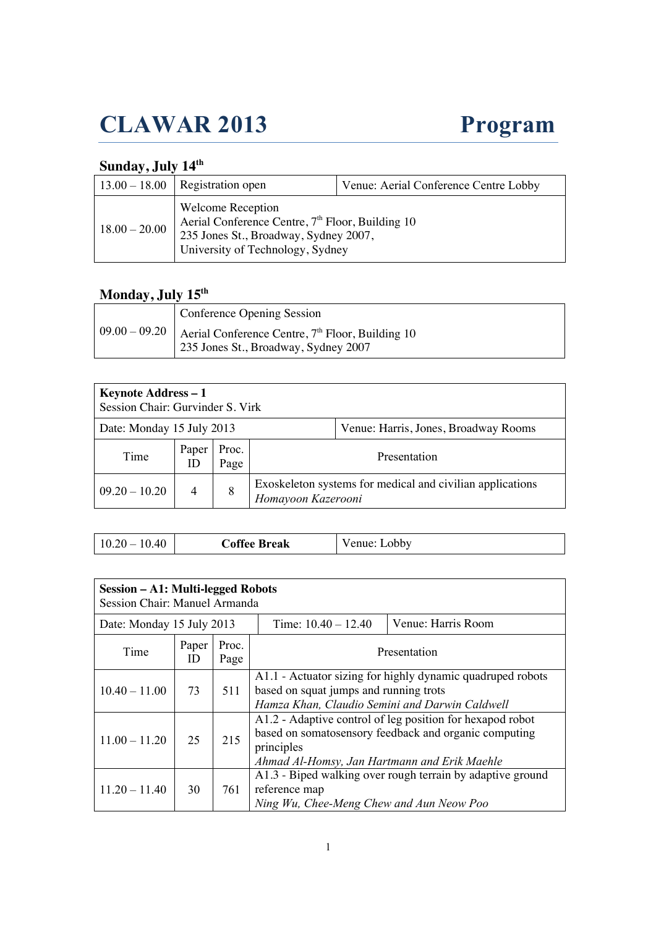# **CLAWAR 2013 Program**

#### **Sunday, July 14th**

|                 | $13.00 - 18.00$ Registration open                                                                                                                                     | Venue: Aerial Conference Centre Lobby |
|-----------------|-----------------------------------------------------------------------------------------------------------------------------------------------------------------------|---------------------------------------|
| $18.00 - 20.00$ | <b>Welcome Reception</b><br>Aerial Conference Centre, 7 <sup>th</sup> Floor, Building 10<br>235 Jones St., Broadway, Sydney 2007,<br>University of Technology, Sydney |                                       |

#### **Monday, July 15th**

| Conference Opening Session                                                                                             |
|------------------------------------------------------------------------------------------------------------------------|
| $\vert 09.00 - 09.20 \vert$ Aerial Conference Centre, $7th$ Floor, Building 10<br>235 Jones St., Broadway, Sydney 2007 |

| Keynote Address - 1<br>Session Chair: Gurvinder S. Virk           |             |               |                                                                                 |  |  |
|-------------------------------------------------------------------|-------------|---------------|---------------------------------------------------------------------------------|--|--|
| Date: Monday 15 July 2013<br>Venue: Harris, Jones, Broadway Rooms |             |               |                                                                                 |  |  |
| Time                                                              | Paper<br>ID | Proc.<br>Page | Presentation                                                                    |  |  |
| $09.20 - 10.20$                                                   | 4           | 8             | Exoskeleton systems for medical and civilian applications<br>Homayoon Kazerooni |  |  |

| 10.40<br>$10.20 -$ | <b>Coffee Break</b> | Venue: Lobby |
|--------------------|---------------------|--------------|
|--------------------|---------------------|--------------|

| Session - A1: Multi-legged Robots<br>Session Chair: Manuel Armanda |             |               |                                                                                                                                                                                  |                                                            |
|--------------------------------------------------------------------|-------------|---------------|----------------------------------------------------------------------------------------------------------------------------------------------------------------------------------|------------------------------------------------------------|
| Date: Monday 15 July 2013                                          |             |               | Time: $10.40 - 12.40$                                                                                                                                                            | Venue: Harris Room                                         |
| Time                                                               | Paper<br>ID | Proc.<br>Page |                                                                                                                                                                                  | Presentation                                               |
| $10.40 - 11.00$                                                    | 73          | 511           | based on squat jumps and running trots<br>Hamza Khan, Claudio Semini and Darwin Caldwell                                                                                         | A1.1 - Actuator sizing for highly dynamic quadruped robots |
| $11.00 - 11.20$                                                    | 25          | 215           | A1.2 - Adaptive control of leg position for hexapod robot<br>based on somatosensory feedback and organic computing<br>principles<br>Ahmad Al-Homsy, Jan Hartmann and Erik Maehle |                                                            |
| $11.20 - 11.40$                                                    | 30          | 761           | reference map<br>Ning Wu, Chee-Meng Chew and Aun Neow Poo                                                                                                                        | A1.3 - Biped walking over rough terrain by adaptive ground |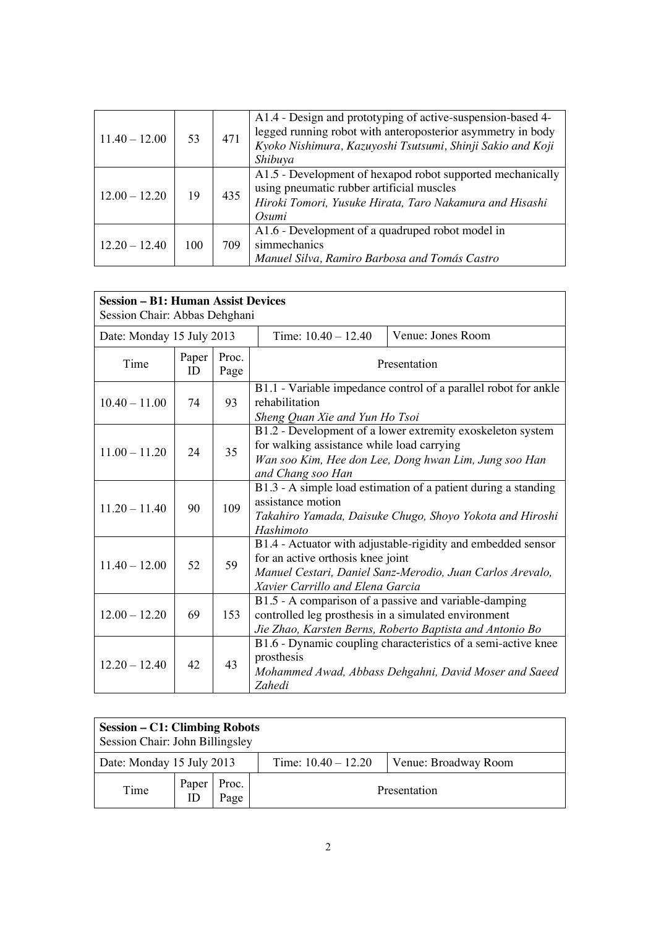| $11.40 - 12.00$ | 53  | 471 | A1.4 - Design and prototyping of active-suspension-based 4-<br>legged running robot with anteroposterior asymmetry in body<br>Kyoko Nishimura, Kazuyoshi Tsutsumi, Shinji Sakio and Koji<br>Shibuya |
|-----------------|-----|-----|-----------------------------------------------------------------------------------------------------------------------------------------------------------------------------------------------------|
| $12.00 - 12.20$ | 19  | 435 | A1.5 - Development of hexapod robot supported mechanically<br>using pneumatic rubber artificial muscles<br>Hiroki Tomori, Yusuke Hirata, Taro Nakamura and Hisashi<br>Osumi                         |
| $12.20 - 12.40$ | 100 | 709 | A1.6 - Development of a quadruped robot model in<br>simmechanics<br>Manuel Silva, Ramiro Barbosa and Tomás Castro                                                                                   |

| <b>Session – B1: Human Assist Devices</b><br>Session Chair: Abbas Dehghani |             |               |                                                                                                                                                                                                    |                                                                                                                        |
|----------------------------------------------------------------------------|-------------|---------------|----------------------------------------------------------------------------------------------------------------------------------------------------------------------------------------------------|------------------------------------------------------------------------------------------------------------------------|
| Date: Monday 15 July 2013                                                  |             |               | Time: $10.40 - 12.40$                                                                                                                                                                              | Venue: Jones Room                                                                                                      |
| Time                                                                       | Paper<br>ID | Proc.<br>Page | Presentation                                                                                                                                                                                       |                                                                                                                        |
| $10.40 - 11.00$                                                            | 74          | 93            | rehabilitation<br>Sheng Quan Xie and Yun Ho Tsoi                                                                                                                                                   | B1.1 - Variable impedance control of a parallel robot for ankle                                                        |
| $11.00 - 11.20$                                                            | 24          | 35            | B1.2 - Development of a lower extremity exoskeleton system<br>for walking assistance while load carrying<br>Wan soo Kim, Hee don Lee, Dong hwan Lim, Jung soo Han<br>and Chang soo Han             |                                                                                                                        |
| $11.20 - 11.40$                                                            | 90          | 109           | B1.3 - A simple load estimation of a patient during a standing<br>assistance motion<br>Takahiro Yamada, Daisuke Chugo, Shoyo Yokota and Hiroshi<br>Hashimoto                                       |                                                                                                                        |
| $11.40 - 12.00$                                                            | 52          | 59            | B1.4 - Actuator with adjustable-rigidity and embedded sensor<br>for an active orthosis knee joint<br>Manuel Cestari, Daniel Sanz-Merodio, Juan Carlos Arevalo,<br>Xavier Carrillo and Elena Garcia |                                                                                                                        |
| $12.00 - 12.20$                                                            | 69          | 153           | B1.5 - A comparison of a passive and variable-damping<br>controlled leg prosthesis in a simulated environment<br>Jie Zhao, Karsten Berns, Roberto Baptista and Antonio Bo                          |                                                                                                                        |
| $12.20 - 12.40$                                                            | 42          | 43            | prosthesis<br>Zahedi                                                                                                                                                                               | B1.6 - Dynamic coupling characteristics of a semi-active knee<br>Mohammed Awad, Abbass Dehgahni, David Moser and Saeed |

| Session – C1: Climbing Robots<br>Session Chair: John Billingsley |                     |      |                       |                      |
|------------------------------------------------------------------|---------------------|------|-----------------------|----------------------|
| Date: Monday 15 July 2013                                        |                     |      | Time: $10.40 - 12.20$ | Venue: Broadway Room |
| Time                                                             | Paper   Proc.<br>ID | Page | Presentation          |                      |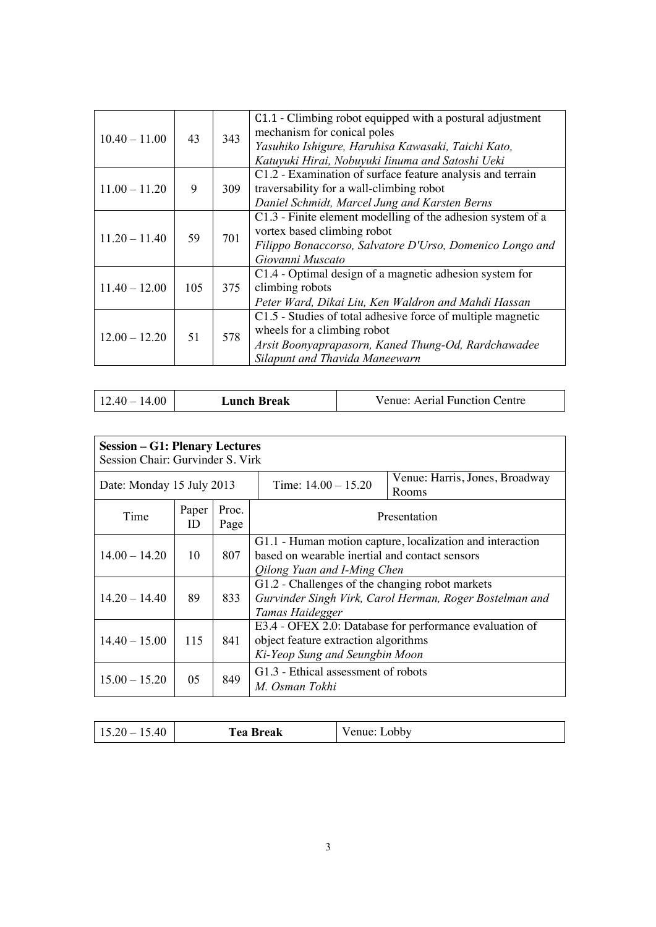| $10.40 - 11.00$ | 43  | 343 | C1.1 - Climbing robot equipped with a postural adjustment<br>mechanism for conical poles<br>Yasuhiko Ishigure, Haruhisa Kawasaki, Taichi Kato,<br>Katuyuki Hirai, Nobuyuki Iinuma and Satoshi Ueki |
|-----------------|-----|-----|----------------------------------------------------------------------------------------------------------------------------------------------------------------------------------------------------|
| $11.00 - 11.20$ | 9   | 309 | C1.2 - Examination of surface feature analysis and terrain<br>traversability for a wall-climbing robot<br>Daniel Schmidt, Marcel Jung and Karsten Berns                                            |
| $11.20 - 11.40$ | 59  | 701 | C1.3 - Finite element modelling of the adhesion system of a<br>vortex based climbing robot<br>Filippo Bonaccorso, Salvatore D'Urso, Domenico Longo and<br>Giovanni Muscato                         |
| $11.40 - 12.00$ | 105 | 375 | C1.4 - Optimal design of a magnetic adhesion system for<br>climbing robots<br>Peter Ward, Dikai Liu, Ken Waldron and Mahdi Hassan                                                                  |
| $12.00 - 12.20$ | 51  | 578 | C1.5 - Studies of total adhesive force of multiple magnetic<br>wheels for a climbing robot<br>Arsit Boonyaprapasorn, Kaned Thung-Od, Rardchawadee<br>Silapunt and Thavida Maneewarn                |

| $12.40 - 14.00$<br>Lunch Break | Venue: Aerial Function Centre |
|--------------------------------|-------------------------------|
|--------------------------------|-------------------------------|

| <b>Session - G1: Plenary Lectures</b><br>Session Chair: Gurvinder S. Virk |             |               |                                                                                                                                            |                                         |
|---------------------------------------------------------------------------|-------------|---------------|--------------------------------------------------------------------------------------------------------------------------------------------|-----------------------------------------|
| Date: Monday 15 July 2013                                                 |             |               | Time: $14.00 - 15.20$                                                                                                                      | Venue: Harris, Jones, Broadway<br>Rooms |
| Time                                                                      | Paper<br>ID | Proc.<br>Page | Presentation                                                                                                                               |                                         |
| $14.00 - 14.20$                                                           | 10          | 807           | G1.1 - Human motion capture, localization and interaction<br>based on wearable inertial and contact sensors<br>Oilong Yuan and I-Ming Chen |                                         |
| $14.20 - 14.40$                                                           | 89          | 833           | G1.2 - Challenges of the changing robot markets<br>Gurvinder Singh Virk, Carol Herman, Roger Bostelman and<br>Tamas Haidegger              |                                         |
| $14.40 - 15.00$                                                           | 115         | 841           | E3.4 - OFEX 2.0: Database for performance evaluation of<br>object feature extraction algorithms<br>Ki-Yeop Sung and Seungbin Moon          |                                         |
| $15.00 - 15.20$                                                           | 05          | 849           | G1.3 - Ethical assessment of robots<br>M. Osman Tokhi                                                                                      |                                         |

| 15.20<br>$40^{\circ}$<br><b>Tea Break</b><br>17.70<br>$1.7.2 \times 10^{-1}$ | Venue: I<br>obby_ |
|------------------------------------------------------------------------------|-------------------|
|------------------------------------------------------------------------------|-------------------|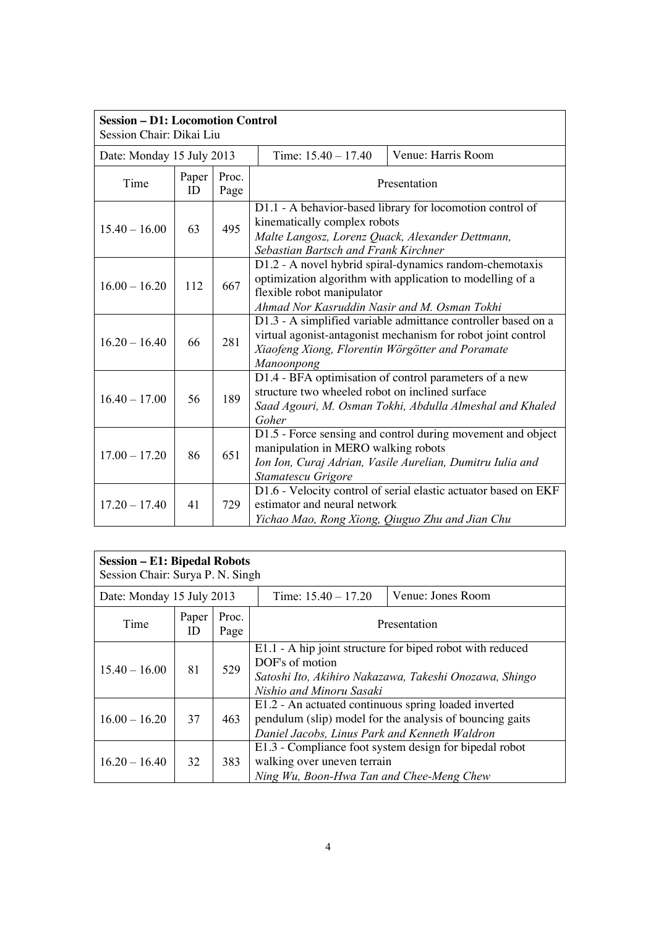| <b>Session - D1: Locomotion Control</b><br>Session Chair: Dikai Liu |             |               |                                                                                                                          |                                                                                                                               |
|---------------------------------------------------------------------|-------------|---------------|--------------------------------------------------------------------------------------------------------------------------|-------------------------------------------------------------------------------------------------------------------------------|
| Date: Monday 15 July 2013                                           |             |               | Time: $15.40 - 17.40$                                                                                                    | Venue: Harris Room                                                                                                            |
| Time                                                                | Paper<br>ID | Proc.<br>Page |                                                                                                                          | Presentation                                                                                                                  |
| $15.40 - 16.00$                                                     | 63          | 495           | kinematically complex robots<br>Malte Langosz, Lorenz Quack, Alexander Dettmann,<br>Sebastian Bartsch and Frank Kirchner | D1.1 - A behavior-based library for locomotion control of                                                                     |
| $16.00 - 16.20$                                                     | 112         | 667           | flexible robot manipulator<br>Ahmad Nor Kasruddin Nasir and M. Osman Tokhi                                               | D1.2 - A novel hybrid spiral-dynamics random-chemotaxis<br>optimization algorithm with application to modelling of a          |
| $16.20 - 16.40$                                                     | 66          | 281           | Xiaofeng Xiong, Florentin Wörgötter and Poramate<br>Manoonpong                                                           | D1.3 - A simplified variable admittance controller based on a<br>virtual agonist-antagonist mechanism for robot joint control |
| $16.40 - 17.00$                                                     | 56          | 189           | structure two wheeled robot on inclined surface<br>Goher                                                                 | D1.4 - BFA optimisation of control parameters of a new<br>Saad Agouri, M. Osman Tokhi, Abdulla Almeshal and Khaled            |
| $17.00 - 17.20$                                                     | 86          | 651           | manipulation in MERO walking robots<br>Stamatescu Grigore                                                                | D1.5 - Force sensing and control during movement and object<br>Ion Ion, Curaj Adrian, Vasile Aurelian, Dumitru Iulia and      |
| $17.20 - 17.40$                                                     | 41          | 729           | estimator and neural network<br>Yichao Mao, Rong Xiong, Qiuguo Zhu and Jian Chu                                          | D1.6 - Velocity control of serial elastic actuator based on EKF                                                               |

| <b>Session - E1: Bipedal Robots</b><br>Session Chair: Surya P. N. Singh |             |               |                                                                                                       |                                                                                                                     |
|-------------------------------------------------------------------------|-------------|---------------|-------------------------------------------------------------------------------------------------------|---------------------------------------------------------------------------------------------------------------------|
| Date: Monday 15 July 2013                                               |             |               | Time: $15.40 - 17.20$                                                                                 | Venue: Jones Room                                                                                                   |
| Time                                                                    | Paper<br>ID | Proc.<br>Page |                                                                                                       | Presentation                                                                                                        |
| $15.40 - 16.00$                                                         | 81          | 529           | DOF's of motion<br>Nishio and Minoru Sasaki                                                           | E1.1 - A hip joint structure for biped robot with reduced<br>Satoshi Ito, Akihiro Nakazawa, Takeshi Onozawa, Shingo |
| $16.00 - 16.20$                                                         | 37          | 463           | E1.2 - An actuated continuous spring loaded inverted<br>Daniel Jacobs, Linus Park and Kenneth Waldron | pendulum (slip) model for the analysis of bouncing gaits                                                            |
| $16.20 - 16.40$                                                         | 32          | 383           | walking over uneven terrain<br>Ning Wu, Boon-Hwa Tan and Chee-Meng Chew                               | E1.3 - Compliance foot system design for bipedal robot                                                              |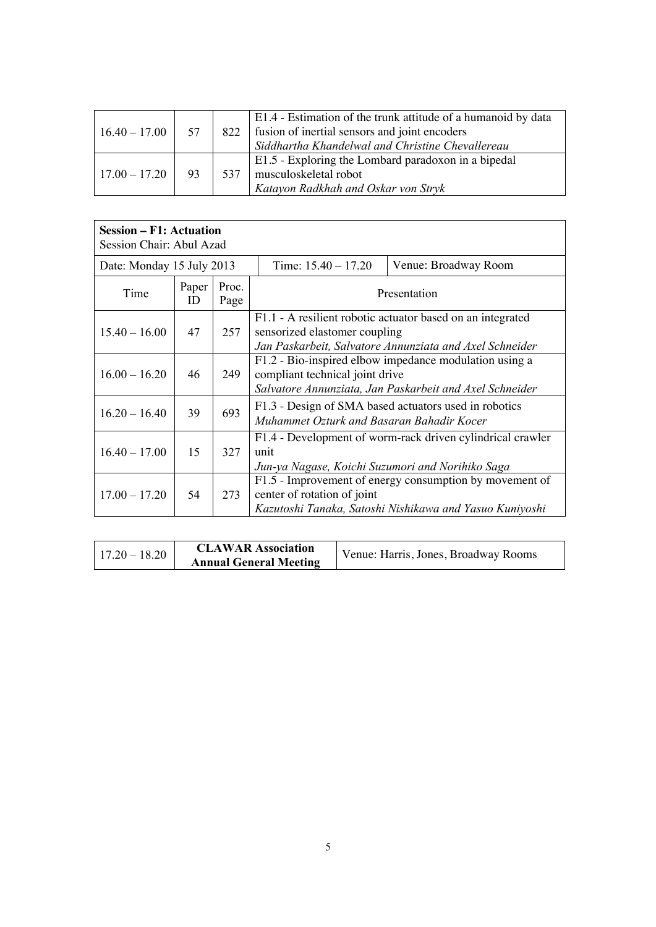| $16.40 - 17.00$ | 57 | 822 | E1.4 - Estimation of the trunk attitude of a humanoid by data<br>fusion of inertial sensors and joint encoders<br>Siddhartha Khandelwal and Christine Chevallereau |
|-----------------|----|-----|--------------------------------------------------------------------------------------------------------------------------------------------------------------------|
| $17.00 - 17.20$ | 93 | 537 | E1.5 - Exploring the Lombard paradoxon in a bipedal<br>musculoskeletal robot<br>Katayon Radkhah and Oskar von Stryk                                                |

| <b>Session – F1: Actuation</b><br>Session Chair: Abul Azad |             |               |                                                          |                                                                                                                       |
|------------------------------------------------------------|-------------|---------------|----------------------------------------------------------|-----------------------------------------------------------------------------------------------------------------------|
| Date: Monday 15 July 2013                                  |             |               | Time: $15.40 - 17.20$                                    | Venue: Broadway Room                                                                                                  |
| Time                                                       | Paper<br>ID | Proc.<br>Page |                                                          | Presentation                                                                                                          |
| $15.40 - 16.00$                                            | 47          | 257           | sensorized elastomer coupling                            | F1.1 - A resilient robotic actuator based on an integrated<br>Jan Paskarbeit, Salvatore Annunziata and Axel Schneider |
| $16.00 - 16.20$                                            | 46          | 249           | compliant technical joint drive                          | F1.2 - Bio-inspired elbow impedance modulation using a<br>Salvatore Annunziata, Jan Paskarbeit and Axel Schneider     |
| $16.20 - 16.40$                                            | 39          | 693           | Muhammet Ozturk and Basaran Bahadir Kocer                | F1.3 - Design of SMA based actuators used in robotics                                                                 |
| $16.40 - 17.00$                                            | 15          | 327           | unit<br>Jun-ya Nagase, Koichi Suzumori and Norihiko Saga | F1.4 - Development of worm-rack driven cylindrical crawler                                                            |
| $17.00 - 17.20$                                            | 54          | 273           | center of rotation of joint                              | F1.5 - Improvement of energy consumption by movement of<br>Kazutoshi Tanaka, Satoshi Nishikawa and Yasuo Kuniyoshi    |

| $17.20 - 18.20$ | <b>CLAWAR Association</b><br><b>Annual General Meeting</b> | Venue: Harris, Jones, Broadway Rooms |
|-----------------|------------------------------------------------------------|--------------------------------------|
|-----------------|------------------------------------------------------------|--------------------------------------|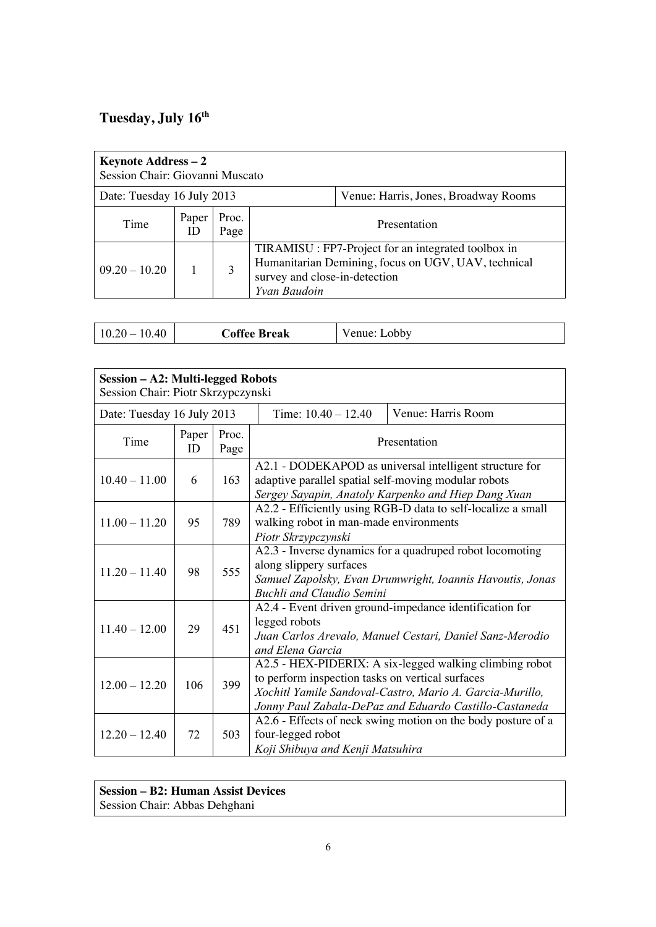## **Tuesday, July 16th**

| <b>Keynote Address – 2</b><br>Session Chair: Giovanni Muscato |                       |               |                                               |                                                                                                            |
|---------------------------------------------------------------|-----------------------|---------------|-----------------------------------------------|------------------------------------------------------------------------------------------------------------|
| Date: Tuesday 16 July 2013                                    |                       |               |                                               | Venue: Harris, Jones, Broadway Rooms                                                                       |
| Time                                                          | Paper<br>$\mathbf{I}$ | Proc.<br>Page |                                               | Presentation                                                                                               |
| $09.20 - 10.20$                                               |                       | 3             | survey and close-in-detection<br>Yvan Baudoin | TIRAMISU : FP7-Project for an integrated toolbox in<br>Humanitarian Demining, focus on UGV, UAV, technical |

|  | $\Lambda$ $\Omega$<br>- 10<br>J.40 | <b>Coffee Break</b> | obby<br>venue <sup>.</sup> |
|--|------------------------------------|---------------------|----------------------------|
|--|------------------------------------|---------------------|----------------------------|

| <b>Session - A2: Multi-legged Robots</b><br>Session Chair: Piotr Skrzypczynski |             |               |                                                               |                                                                                                                                                                               |
|--------------------------------------------------------------------------------|-------------|---------------|---------------------------------------------------------------|-------------------------------------------------------------------------------------------------------------------------------------------------------------------------------|
| Date: Tuesday 16 July 2013                                                     |             |               | Time: $10.40 - 12.40$                                         | Venue: Harris Room                                                                                                                                                            |
| Time                                                                           | Paper<br>ID | Proc.<br>Page |                                                               | Presentation                                                                                                                                                                  |
| $10.40 - 11.00$                                                                | 6           | 163           | adaptive parallel spatial self-moving modular robots          | A2.1 - DODEKAPOD as universal intelligent structure for<br>Sergey Sayapin, Anatoly Karpenko and Hiep Dang Xuan                                                                |
| $11.00 - 11.20$                                                                | 95          | 789           | walking robot in man-made environments<br>Piotr Skrzypczynski | A2.2 - Efficiently using RGB-D data to self-localize a small                                                                                                                  |
| $11.20 - 11.40$                                                                | 98          | 555           | along slippery surfaces<br><b>Buchli and Claudio Semini</b>   | A2.3 - Inverse dynamics for a quadruped robot locomoting<br>Samuel Zapolsky, Evan Drumwright, Ioannis Havoutis, Jonas                                                         |
| $11.40 - 12.00$                                                                | 29          | 451           | legged robots<br>and Elena Garcia                             | A2.4 - Event driven ground-impedance identification for<br>Juan Carlos Arevalo, Manuel Cestari, Daniel Sanz-Merodio                                                           |
| $12.00 - 12.20$                                                                | 106         | 399           | to perform inspection tasks on vertical surfaces              | A2.5 - HEX-PIDERIX: A six-legged walking climbing robot<br>Xochitl Yamile Sandoval-Castro, Mario A. Garcia-Murillo,<br>Jonny Paul Zabala-DePaz and Eduardo Castillo-Castaneda |
| $12.20 - 12.40$                                                                | 72          | 503           | four-legged robot<br>Koji Shibuya and Kenji Matsuhira         | A2.6 - Effects of neck swing motion on the body posture of a                                                                                                                  |

**Session – B2: Human Assist Devices** Session Chair: Abbas Dehghani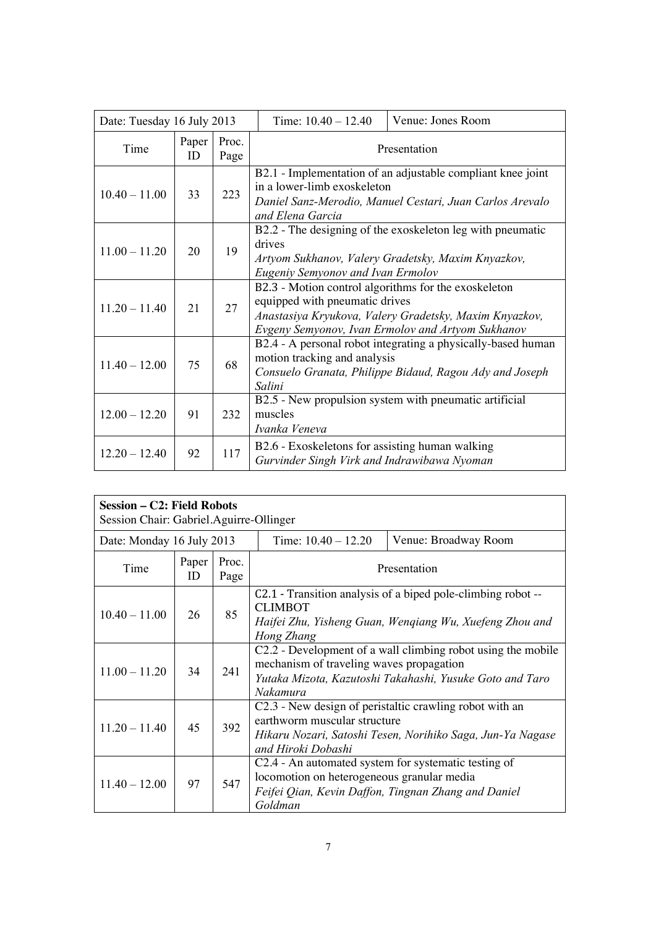| Date: Tuesday 16 July 2013 |             |               | Time: $10.40 - 12.40$                                                                          | Venue: Jones Room                                                                                                       |
|----------------------------|-------------|---------------|------------------------------------------------------------------------------------------------|-------------------------------------------------------------------------------------------------------------------------|
| Time                       | Paper<br>ID | Proc.<br>Page |                                                                                                | Presentation                                                                                                            |
| $10.40 - 11.00$            | 33          | 223           | in a lower-limb exoskeleton<br>and Elena Garcia                                                | B2.1 - Implementation of an adjustable compliant knee joint<br>Daniel Sanz-Merodio, Manuel Cestari, Juan Carlos Arevalo |
| $11.00 - 11.20$            | 20          | 19            | drives<br>Eugeniy Semyonov and Ivan Ermolov                                                    | B2.2 - The designing of the exoskeleton leg with pneumatic<br>Artyom Sukhanov, Valery Gradetsky, Maxim Knyazkov,        |
| $11.20 - 11.40$            | 21          | 27            | B2.3 - Motion control algorithms for the exoskeleton<br>equipped with pneumatic drives         | Anastasiya Kryukova, Valery Gradetsky, Maxim Knyazkov,<br>Evgeny Semyonov, Ivan Ermolov and Artyom Sukhanov             |
| $11.40 - 12.00$            | 75          | 68            | motion tracking and analysis<br>Salini                                                         | B2.4 - A personal robot integrating a physically-based human<br>Consuelo Granata, Philippe Bidaud, Ragou Ady and Joseph |
| $12.00 - 12.20$            | 91          | 232           | muscles<br>Ivanka Veneva                                                                       | B2.5 - New propulsion system with pneumatic artificial                                                                  |
| $12.20 - 12.40$            | 92          | 117           | B2.6 - Exoskeletons for assisting human walking<br>Gurvinder Singh Virk and Indrawibawa Nyoman |                                                                                                                         |

| Session – C2: Field Robots<br>Session Chair: Gabriel.Aguirre-Ollinger |             |               |                                                       |                                                                                                                          |
|-----------------------------------------------------------------------|-------------|---------------|-------------------------------------------------------|--------------------------------------------------------------------------------------------------------------------------|
| Date: Monday 16 July 2013                                             |             |               | Time: $10.40 - 12.20$                                 | Venue: Broadway Room                                                                                                     |
| Time                                                                  | Paper<br>ID | Proc.<br>Page |                                                       | Presentation                                                                                                             |
| $10.40 - 11.00$                                                       | 26          | 85            | <b>CLIMBOT</b><br>Hong Zhang                          | C2.1 - Transition analysis of a biped pole-climbing robot --<br>Haifei Zhu, Yisheng Guan, Wengiang Wu, Xuefeng Zhou and  |
| $11.00 - 11.20$                                                       | 34          | 241           | mechanism of traveling waves propagation<br>Nakamura  | C2.2 - Development of a wall climbing robot using the mobile<br>Yutaka Mizota, Kazutoshi Takahashi, Yusuke Goto and Taro |
| $11.20 - 11.40$                                                       | 45          | 392           | earthworm muscular structure<br>and Hiroki Dobashi    | C2.3 - New design of peristaltic crawling robot with an<br>Hikaru Nozari, Satoshi Tesen, Norihiko Saga, Jun-Ya Nagase    |
| $11.40 - 12.00$                                                       | 97          | 547           | locomotion on heterogeneous granular media<br>Goldman | C2.4 - An automated system for systematic testing of<br>Feifei Qian, Kevin Daffon, Tingnan Zhang and Daniel              |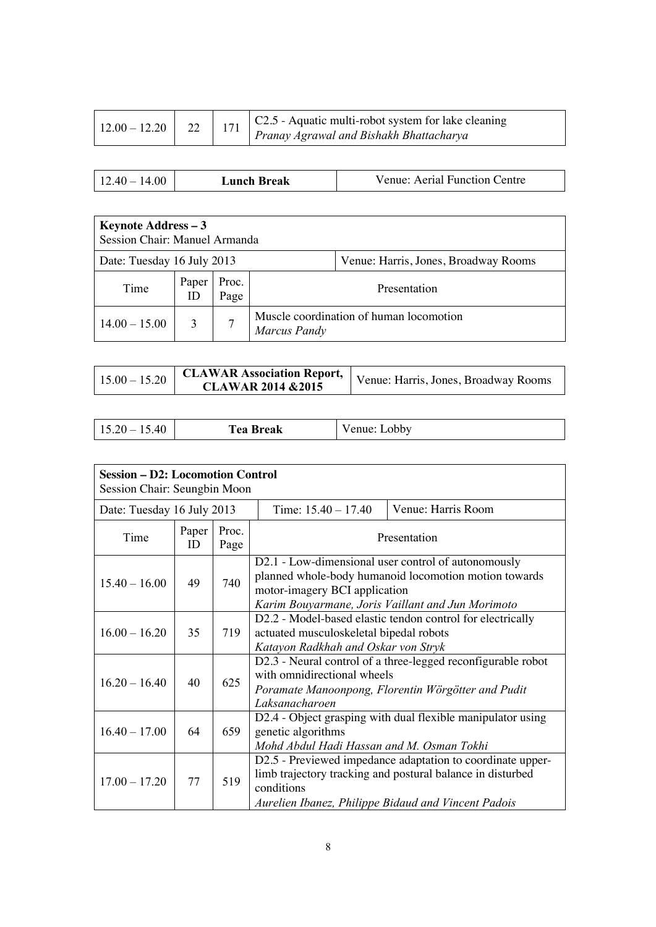|  |  |  | $\left  \begin{array}{c c} \n\text{12.20} & 22 & 171 & \n\end{array} \right $ 171   C2.5 - Aquatic multi-robot system for lake cleaning<br>Pranay Agrawal and Bishakh Bhattacharya |
|--|--|--|------------------------------------------------------------------------------------------------------------------------------------------------------------------------------------|
|--|--|--|------------------------------------------------------------------------------------------------------------------------------------------------------------------------------------|

| Venue: Aerial Function Centre<br>$12.40 - 14.00$<br>Lunch Break |
|-----------------------------------------------------------------|
|                                                                 |

| <b>Keynote Address - 3</b><br>Session Chair: Manuel Armanda        |             |               |                                                         |  |  |
|--------------------------------------------------------------------|-------------|---------------|---------------------------------------------------------|--|--|
| Date: Tuesday 16 July 2013<br>Venue: Harris, Jones, Broadway Rooms |             |               |                                                         |  |  |
| Time                                                               | Paper<br>ID | Proc.<br>Page | Presentation                                            |  |  |
| $14.00 - 15.00$                                                    | 3           |               | Muscle coordination of human locomotion<br>Marcus Pandy |  |  |

| $15.00 - 15.20$ | <b>CLAWAR 2014 &amp; 2015</b> | <b>CLAWAR Association Report,</b> Venue: Harris, Jones, Broadway Rooms |
|-----------------|-------------------------------|------------------------------------------------------------------------|
|-----------------|-------------------------------|------------------------------------------------------------------------|

| $15.20 - 15.40$<br><b>Tea Break</b> | Venue: Lobby |
|-------------------------------------|--------------|
|-------------------------------------|--------------|

| <b>Session - D2: Locomotion Control</b><br>Session Chair: Seungbin Moon |             |               |                                                                                                                                                                                                    |                                                                                                                          |  |
|-------------------------------------------------------------------------|-------------|---------------|----------------------------------------------------------------------------------------------------------------------------------------------------------------------------------------------------|--------------------------------------------------------------------------------------------------------------------------|--|
| Date: Tuesday 16 July 2013                                              |             |               | Time: $15.40 - 17.40$                                                                                                                                                                              | Venue: Harris Room                                                                                                       |  |
| Time                                                                    | Paper<br>ID | Proc.<br>Page | Presentation                                                                                                                                                                                       |                                                                                                                          |  |
| $15.40 - 16.00$                                                         | 49          | 740           | D2.1 - Low-dimensional user control of autonomously<br>planned whole-body humanoid locomotion motion towards<br>motor-imagery BCI application<br>Karim Bouyarmane, Joris Vaillant and Jun Morimoto |                                                                                                                          |  |
| $16.00 - 16.20$                                                         | 35          | 719           | D2.2 - Model-based elastic tendon control for electrically<br>actuated musculoskeletal bipedal robots<br>Katayon Radkhah and Oskar von Stryk                                                       |                                                                                                                          |  |
| $16.20 - 16.40$                                                         | 40          | 625           | D2.3 - Neural control of a three-legged reconfigurable robot<br>with omnidirectional wheels<br>Poramate Manoonpong, Florentin Wörgötter and Pudit<br>Laksanacharoen                                |                                                                                                                          |  |
| $16.40 - 17.00$                                                         | 64          | 659           | D2.4 - Object grasping with dual flexible manipulator using<br>genetic algorithms<br>Mohd Abdul Hadi Hassan and M. Osman Tokhi                                                                     |                                                                                                                          |  |
| $17.00 - 17.20$                                                         | 77          | 519           | conditions<br>Aurelien Ibanez, Philippe Bidaud and Vincent Padois                                                                                                                                  | D2.5 - Previewed impedance adaptation to coordinate upper-<br>limb trajectory tracking and postural balance in disturbed |  |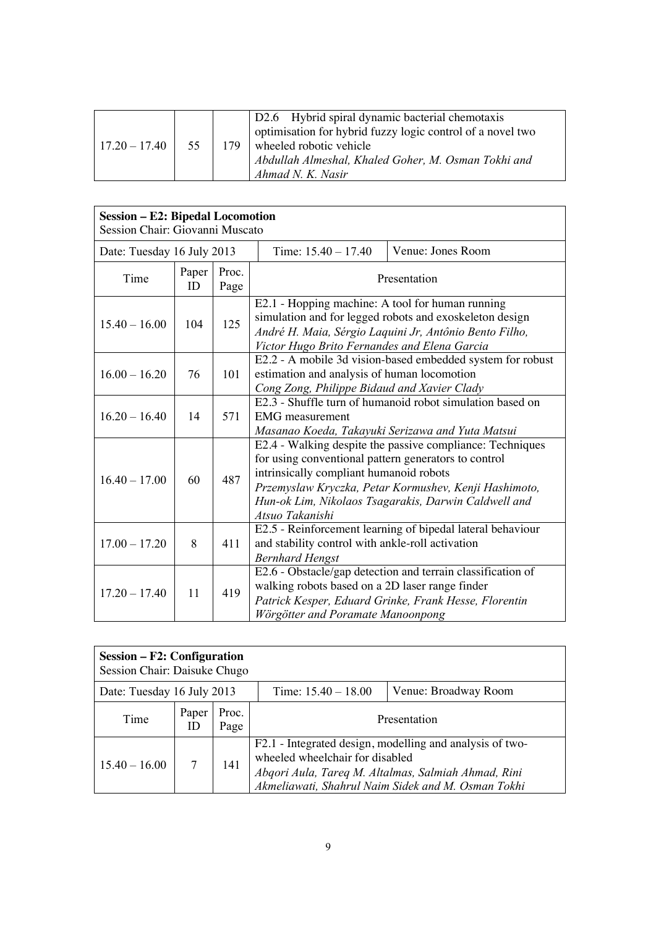| $17.20 - 17.40$ | 55 | 179 | D2.6 Hybrid spiral dynamic bacterial chemotaxis<br>optimisation for hybrid fuzzy logic control of a novel two<br>wheeled robotic vehicle<br>Abdullah Almeshal, Khaled Goher, M. Osman Tokhi and<br>Ahmad N. K. Nasir |
|-----------------|----|-----|----------------------------------------------------------------------------------------------------------------------------------------------------------------------------------------------------------------------|
|-----------------|----|-----|----------------------------------------------------------------------------------------------------------------------------------------------------------------------------------------------------------------------|

| <b>Session - E2: Bipedal Locomotion</b><br>Session Chair: Giovanni Muscato |             |               |                                                                                                                                                                                                                                                                                                  |                                                                                                                      |  |
|----------------------------------------------------------------------------|-------------|---------------|--------------------------------------------------------------------------------------------------------------------------------------------------------------------------------------------------------------------------------------------------------------------------------------------------|----------------------------------------------------------------------------------------------------------------------|--|
| Date: Tuesday 16 July 2013                                                 |             |               | Time: $15.40 - 17.40$                                                                                                                                                                                                                                                                            | Venue: Jones Room                                                                                                    |  |
| Time                                                                       | Paper<br>ID | Proc.<br>Page | Presentation                                                                                                                                                                                                                                                                                     |                                                                                                                      |  |
| $15.40 - 16.00$                                                            | 104         | 125           | E2.1 - Hopping machine: A tool for human running<br>simulation and for legged robots and exoskeleton design<br>André H. Maia, Sérgio Laquini Jr, Antônio Bento Filho,<br>Victor Hugo Brito Fernandes and Elena Garcia                                                                            |                                                                                                                      |  |
| $16.00 - 16.20$                                                            | 76          | 101           | E2.2 - A mobile 3d vision-based embedded system for robust<br>estimation and analysis of human locomotion<br>Cong Zong, Philippe Bidaud and Xavier Clady                                                                                                                                         |                                                                                                                      |  |
| $16.20 - 16.40$                                                            | 14          | 571           | E2.3 - Shuffle turn of humanoid robot simulation based on<br><b>EMG</b> measurement<br>Masanao Koeda, Takayuki Serizawa and Yuta Matsui                                                                                                                                                          |                                                                                                                      |  |
| $16.40 - 17.00$                                                            | 60          | 487           | E2.4 - Walking despite the passive compliance: Techniques<br>for using conventional pattern generators to control<br>intrinsically compliant humanoid robots<br>Przemyslaw Kryczka, Petar Kormushev, Kenji Hashimoto,<br>Hun-ok Lim, Nikolaos Tsagarakis, Darwin Caldwell and<br>Atsuo Takanishi |                                                                                                                      |  |
| $17.00 - 17.20$                                                            | 8           | 411           | E2.5 - Reinforcement learning of bipedal lateral behaviour<br>and stability control with ankle-roll activation<br><b>Bernhard Hengst</b>                                                                                                                                                         |                                                                                                                      |  |
| $17.20 - 17.40$                                                            | 11          | 419           | walking robots based on a 2D laser range finder<br>Wörgötter and Poramate Manoonpong                                                                                                                                                                                                             | E2.6 - Obstacle/gap detection and terrain classification of<br>Patrick Kesper, Eduard Grinke, Frank Hesse, Florentin |  |

| Session – F2: Configuration<br>Session Chair: Daisuke Chugo                 |             |               |                                                                                                                                                                                                          |  |  |
|-----------------------------------------------------------------------------|-------------|---------------|----------------------------------------------------------------------------------------------------------------------------------------------------------------------------------------------------------|--|--|
| Venue: Broadway Room<br>Date: Tuesday 16 July 2013<br>Time: $15.40 - 18.00$ |             |               |                                                                                                                                                                                                          |  |  |
| Time                                                                        | Paper<br>ID | Proc.<br>Page | Presentation                                                                                                                                                                                             |  |  |
| $15.40 - 16.00$                                                             | 7           | 141           | F2.1 - Integrated design, modelling and analysis of two-<br>wheeled wheelchair for disabled<br>Abqori Aula, Tareq M. Altalmas, Salmiah Ahmad, Rini<br>Akmeliawati, Shahrul Naim Sidek and M. Osman Tokhi |  |  |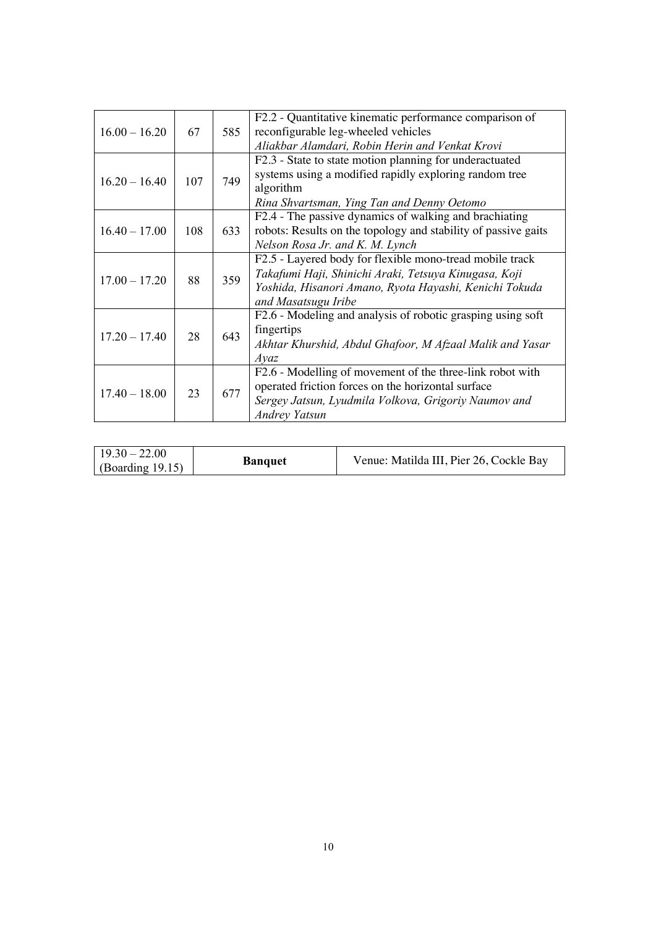| $16.00 - 16.20$ | 67  | 585 | F2.2 - Quantitative kinematic performance comparison of<br>reconfigurable leg-wheeled vehicles |
|-----------------|-----|-----|------------------------------------------------------------------------------------------------|
|                 |     |     |                                                                                                |
|                 |     |     | Aliakbar Alamdari, Robin Herin and Venkat Krovi                                                |
|                 |     |     | F2.3 - State to state motion planning for underactuated                                        |
| $16.20 - 16.40$ | 107 | 749 | systems using a modified rapidly exploring random tree                                         |
|                 |     |     | algorithm                                                                                      |
|                 |     |     | Rina Shvartsman, Ying Tan and Denny Oetomo                                                     |
|                 |     |     | F2.4 - The passive dynamics of walking and brachiating                                         |
| $16.40 - 17.00$ | 108 | 633 | robots: Results on the topology and stability of passive gaits                                 |
|                 |     |     | Nelson Rosa Jr. and K. M. Lynch                                                                |
|                 |     |     | F2.5 - Layered body for flexible mono-tread mobile track                                       |
|                 |     |     | Takafumi Haji, Shinichi Araki, Tetsuya Kinugasa, Koji                                          |
| $17.00 - 17.20$ | 88  | 359 | Yoshida, Hisanori Amano, Ryota Hayashi, Kenichi Tokuda                                         |
|                 |     |     | and Masatsugu Iribe                                                                            |
|                 |     |     | F2.6 - Modeling and analysis of robotic grasping using soft                                    |
|                 |     |     | fingertips                                                                                     |
| $17.20 - 17.40$ | 28  | 643 | Akhtar Khurshid, Abdul Ghafoor, M Afzaal Malik and Yasar                                       |
|                 |     |     | $A$ yaz                                                                                        |
|                 |     |     | F2.6 - Modelling of movement of the three-link robot with                                      |
|                 |     |     | operated friction forces on the horizontal surface                                             |
| $17.40 - 18.00$ | 23  | 677 | Sergey Jatsun, Lyudmila Volkova, Grigoriy Naumov and                                           |
|                 |     |     | <b>Andrey Yatsun</b>                                                                           |
|                 |     |     |                                                                                                |

| $19.30 - 22.00$<br><b>Banquet</b><br>$\log$ (Boarding 19.15) | Venue: Matilda III, Pier 26, Cockle Bay |
|--------------------------------------------------------------|-----------------------------------------|
|--------------------------------------------------------------|-----------------------------------------|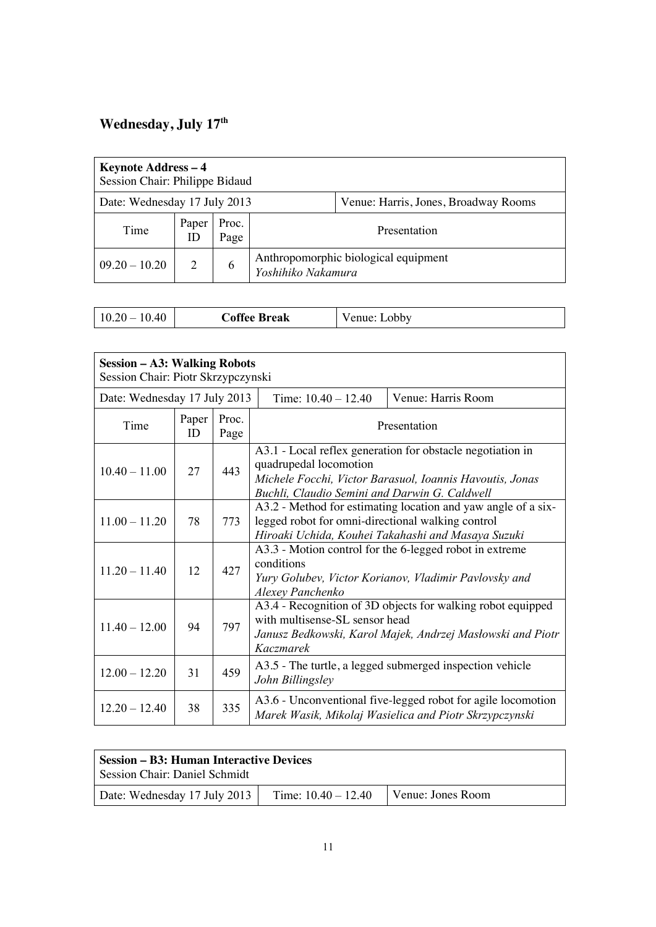### **Wednesday, July 17th**

| Keynote Address - 4<br>Session Chair: Philippe Bidaud |                                                                      |               |                                                            |  |  |
|-------------------------------------------------------|----------------------------------------------------------------------|---------------|------------------------------------------------------------|--|--|
|                                                       | Date: Wednesday 17 July 2013<br>Venue: Harris, Jones, Broadway Rooms |               |                                                            |  |  |
| Time                                                  | Paper<br>ID                                                          | Proc.<br>Page | Presentation                                               |  |  |
| $09.20 - 10.20$                                       | 2                                                                    | 6             | Anthropomorphic biological equipment<br>Yoshihiko Nakamura |  |  |

| <b>Coffee Break</b><br>$10.20 - 10.40$ | Venue: Lobby |  |
|----------------------------------------|--------------|--|
|----------------------------------------|--------------|--|

| <b>Session - A3: Walking Robots</b><br>Session Chair: Piotr Skrzypczynski |             |               |                                                                                                                                                                                                   |                    |  |
|---------------------------------------------------------------------------|-------------|---------------|---------------------------------------------------------------------------------------------------------------------------------------------------------------------------------------------------|--------------------|--|
| Date: Wednesday 17 July 2013                                              |             |               | Time: $10.40 - 12.40$                                                                                                                                                                             | Venue: Harris Room |  |
| Time                                                                      | Paper<br>ID | Proc.<br>Page | Presentation                                                                                                                                                                                      |                    |  |
| $10.40 - 11.00$                                                           | 27          | 443           | A3.1 - Local reflex generation for obstacle negotiation in<br>quadrupedal locomotion<br>Michele Focchi, Victor Barasuol, Ioannis Havoutis, Jonas<br>Buchli, Claudio Semini and Darwin G. Caldwell |                    |  |
| $11.00 - 11.20$                                                           | 78          | 773           | A3.2 - Method for estimating location and yaw angle of a six-<br>legged robot for omni-directional walking control<br>Hiroaki Uchida, Kouhei Takahashi and Masaya Suzuki                          |                    |  |
| $11.20 - 11.40$                                                           | 12          | 427           | A3.3 - Motion control for the 6-legged robot in extreme<br>conditions<br>Yury Golubev, Victor Korianov, Vladimir Pavlovsky and<br>Alexey Panchenko                                                |                    |  |
| $11.40 - 12.00$                                                           | 94          | 797           | A3.4 - Recognition of 3D objects for walking robot equipped<br>with multisense-SL sensor head<br>Janusz Bedkowski, Karol Majek, Andrzej Masłowski and Piotr<br>Kaczmarek                          |                    |  |
| $12.00 - 12.20$                                                           | 31          | 459           | A3.5 - The turtle, a legged submerged inspection vehicle<br>John Billingsley                                                                                                                      |                    |  |
| $12.20 - 12.40$                                                           | 38          | 335           | A3.6 - Unconventional five-legged robot for agile locomotion<br>Marek Wasik, Mikolaj Wasielica and Piotr Skrzypczynski                                                                            |                    |  |

| <b>Session Chair: Daniel Schmidt</b>                                       | <b>Session – B3: Human Interactive Devices</b> |  |  |  |
|----------------------------------------------------------------------------|------------------------------------------------|--|--|--|
| Date: Wednesday 17 July 2013<br>Time: $10.40 - 12.40$<br>Venue: Jones Room |                                                |  |  |  |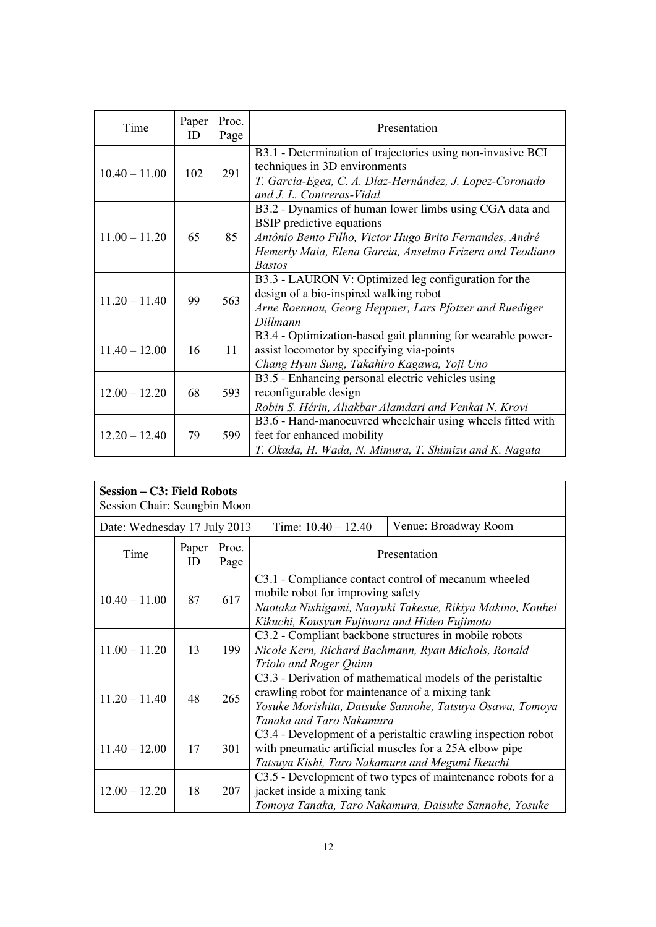| Time            | Paper<br>ID | Proc.<br>Page | Presentation                                                                                                                                                                                                                        |  |
|-----------------|-------------|---------------|-------------------------------------------------------------------------------------------------------------------------------------------------------------------------------------------------------------------------------------|--|
| $10.40 - 11.00$ | 102         | 291           | B3.1 - Determination of trajectories using non-invasive BCI<br>techniques in 3D environments<br>T. Garcia-Egea, C. A. Díaz-Hernández, J. Lopez-Coronado<br>and J. L. Contreras-Vidal                                                |  |
| $11.00 - 11.20$ | 65          | 85            | B3.2 - Dynamics of human lower limbs using CGA data and<br><b>BSIP</b> predictive equations<br>Antônio Bento Filho, Victor Hugo Brito Fernandes, André<br>Hemerly Maia, Elena Garcia, Anselmo Frizera and Teodiano<br><b>Bastos</b> |  |
| $11.20 - 11.40$ | 99          | 563           | B3.3 - LAURON V: Optimized leg configuration for the<br>design of a bio-inspired walking robot<br>Arne Roennau, Georg Heppner, Lars Pfotzer and Ruediger<br>Dillmann                                                                |  |
| $11.40 - 12.00$ | 16          | 11            | B3.4 - Optimization-based gait planning for wearable power-<br>assist locomotor by specifying via-points<br>Chang Hyun Sung, Takahiro Kagawa, Yoji Uno                                                                              |  |
| $12.00 - 12.20$ | 68          | 593           | B3.5 - Enhancing personal electric vehicles using<br>reconfigurable design<br>Robin S. Hérin, Aliakbar Alamdari and Venkat N. Krovi                                                                                                 |  |
| $12.20 - 12.40$ | 79          | 599           | B3.6 - Hand-manoeuvred wheelchair using wheels fitted with<br>feet for enhanced mobility<br>T. Okada, H. Wada, N. Mimura, T. Shimizu and K. Nagata                                                                                  |  |

| Session – C3: Field Robots<br>Session Chair: Seungbin Moon |             |               |                                                                                                                                                                                                        |                      |
|------------------------------------------------------------|-------------|---------------|--------------------------------------------------------------------------------------------------------------------------------------------------------------------------------------------------------|----------------------|
| Date: Wednesday 17 July 2013                               |             |               | Time: $10.40 - 12.40$                                                                                                                                                                                  | Venue: Broadway Room |
| Time                                                       | Paper<br>ID | Proc.<br>Page | Presentation                                                                                                                                                                                           |                      |
| $10.40 - 11.00$                                            | 87          | 617           | C3.1 - Compliance contact control of mecanum wheeled<br>mobile robot for improving safety<br>Naotaka Nishigami, Naoyuki Takesue, Rikiya Makino, Kouhei<br>Kikuchi, Kousyun Fujiwara and Hideo Fujimoto |                      |
| $11.00 - 11.20$                                            | 13          | 199           | C3.2 - Compliant backbone structures in mobile robots<br>Nicole Kern, Richard Bachmann, Ryan Michols, Ronald<br>Triolo and Roger Quinn                                                                 |                      |
| $11.20 - 11.40$                                            | 48          | 265           | C3.3 - Derivation of mathematical models of the peristaltic<br>crawling robot for maintenance of a mixing tank<br>Yosuke Morishita, Daisuke Sannohe, Tatsuya Osawa, Tomoya<br>Tanaka and Taro Nakamura |                      |
| $11.40 - 12.00$                                            | 17          | 301           | C3.4 - Development of a peristaltic crawling inspection robot<br>with pneumatic artificial muscles for a 25A elbow pipe<br>Tatsuya Kishi, Taro Nakamura and Megumi Ikeuchi                             |                      |
| $12.00 - 12.20$                                            | 18          | 207           | C3.5 - Development of two types of maintenance robots for a<br>jacket inside a mixing tank<br>Tomoya Tanaka, Taro Nakamura, Daisuke Sannohe, Yosuke                                                    |                      |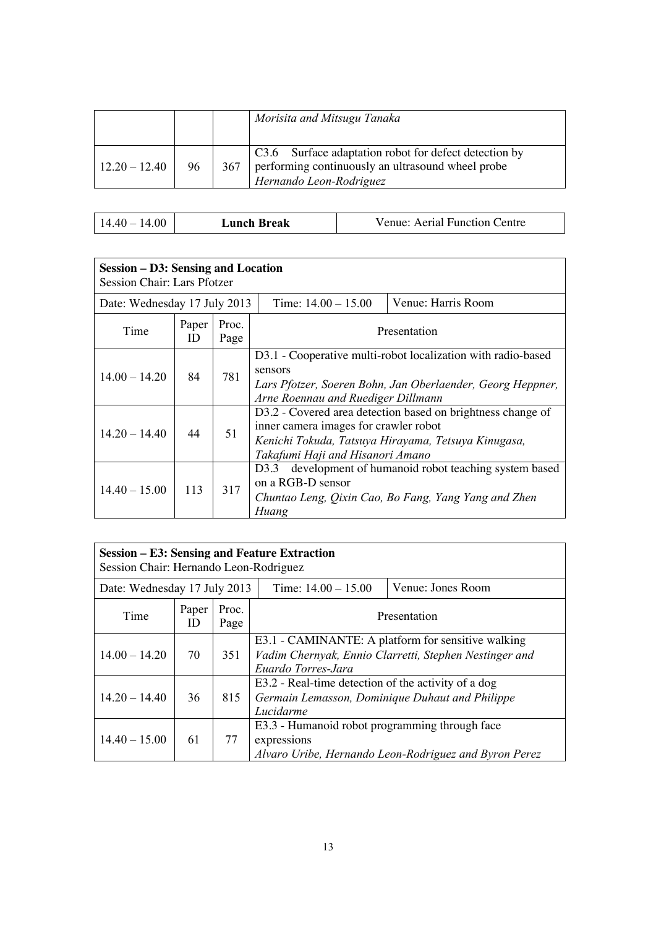|                 |    |     | Morisita and Mitsugu Tanaka                                                                                                           |
|-----------------|----|-----|---------------------------------------------------------------------------------------------------------------------------------------|
| $12.20 - 12.40$ | 96 | 367 | C3.6 Surface adaptation robot for defect detection by<br>performing continuously an ultrasound wheel probe<br>Hernando Leon-Rodriguez |

| $14.40 - 14.00$ | Lunch Break | Venue: Aerial Function Centre |
|-----------------|-------------|-------------------------------|
|-----------------|-------------|-------------------------------|

٦

| Session – D3: Sensing and Location<br><b>Session Chair: Lars Pfotzer</b> |             |                       |                                                                                                                                                                                                 |  |
|--------------------------------------------------------------------------|-------------|-----------------------|-------------------------------------------------------------------------------------------------------------------------------------------------------------------------------------------------|--|
| Date: Wednesday 17 July 2013                                             |             | Time: $14.00 - 15.00$ | Venue: Harris Room                                                                                                                                                                              |  |
| Time                                                                     | Paper<br>ID | Proc.<br>Page         | Presentation                                                                                                                                                                                    |  |
| $14.00 - 14.20$                                                          | 84          | 781                   | D3.1 - Cooperative multi-robot localization with radio-based<br>sensors<br>Lars Pfotzer, Soeren Bohn, Jan Oberlaender, Georg Heppner,<br>Arne Roennau and Ruediger Dillmann                     |  |
| $14.20 - 14.40$                                                          | 44          | 51                    | D3.2 - Covered area detection based on brightness change of<br>inner camera images for crawler robot<br>Kenichi Tokuda, Tatsuya Hirayama, Tetsuya Kinugasa,<br>Takafumi Haji and Hisanori Amano |  |
| $14.40 - 15.00$                                                          | 113         | 317                   | development of humanoid robot teaching system based<br>D3.3<br>on a RGB-D sensor<br>Chuntao Leng, Qixin Cao, Bo Fang, Yang Yang and Zhen<br>Huang                                               |  |

| Session – E3: Sensing and Feature Extraction<br>Session Chair: Hernando Leon-Rodriguez |             |               |                                                                                                                                    |  |
|----------------------------------------------------------------------------------------|-------------|---------------|------------------------------------------------------------------------------------------------------------------------------------|--|
| Time: $14.00 - 15.00$<br>Venue: Jones Room<br>Date: Wednesday 17 July 2013             |             |               |                                                                                                                                    |  |
| Time                                                                                   | Paper<br>ID | Proc.<br>Page | Presentation                                                                                                                       |  |
| $14.00 - 14.20$                                                                        | 70          | 351           | E3.1 - CAMINANTE: A platform for sensitive walking<br>Vadim Chernyak, Ennio Clarretti, Stephen Nestinger and<br>Euardo Torres-Jara |  |
| $14.20 - 14.40$                                                                        | 36          | 815           | E3.2 - Real-time detection of the activity of a dog<br>Germain Lemasson, Dominique Duhaut and Philippe<br>Lucidarme                |  |
| $14.40 - 15.00$                                                                        | 61          | 77            | E3.3 - Humanoid robot programming through face<br>expressions<br>Alvaro Uribe, Hernando Leon-Rodriguez and Byron Perez             |  |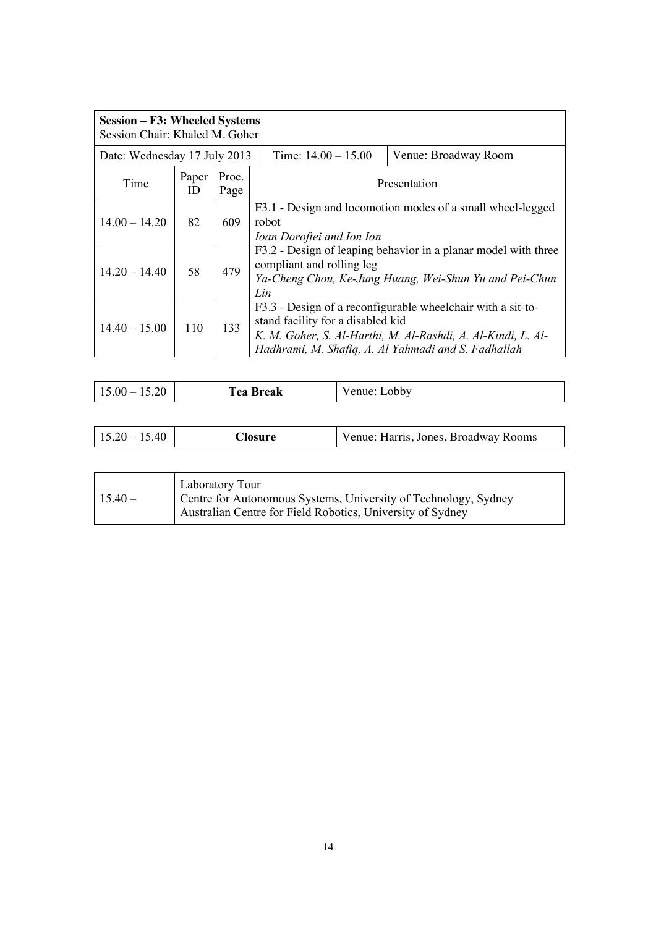| Session – F3: Wheeled Systems<br>Session Chair: Khaled M. Goher |             |               |                                                                                                                                                                                                                         |                      |
|-----------------------------------------------------------------|-------------|---------------|-------------------------------------------------------------------------------------------------------------------------------------------------------------------------------------------------------------------------|----------------------|
| Date: Wednesday 17 July 2013                                    |             |               | Time: $14.00 - 15.00$                                                                                                                                                                                                   | Venue: Broadway Room |
| Time                                                            | Paper<br>ID | Proc.<br>Page | Presentation                                                                                                                                                                                                            |                      |
| $14.00 - 14.20$                                                 | 82          | 609           | F3.1 - Design and locomotion modes of a small wheel-legged<br>robot<br>Ioan Doroftei and Ion Ion                                                                                                                        |                      |
| $14.20 - 14.40$                                                 | 58          | 479           | F3.2 - Design of leaping behavior in a planar model with three<br>compliant and rolling leg<br>Ya-Cheng Chou, Ke-Jung Huang, Wei-Shun Yu and Pei-Chun<br>Lin                                                            |                      |
| $14.40 - 15.00$                                                 | 110         | 133           | F3.3 - Design of a reconfigurable wheelchair with a sit-to-<br>stand facility for a disabled kid<br>K. M. Goher, S. Al-Harthi, M. Al-Rashdi, A. Al-Kindi, L. Al-<br>Hadhrami, M. Shafiq, A. Al Yahmadi and S. Fadhallah |                      |

| 15.20<br>$15.00 -$ | <b>Tea Break</b> | enue: J<br>Lobby |
|--------------------|------------------|------------------|
|--------------------|------------------|------------------|

| $15.40 -$ | Laboratory Tour<br>Centre for Autonomous Systems, University of Technology, Sydney<br>Australian Centre for Field Robotics, University of Sydney |
|-----------|--------------------------------------------------------------------------------------------------------------------------------------------------|
|-----------|--------------------------------------------------------------------------------------------------------------------------------------------------|